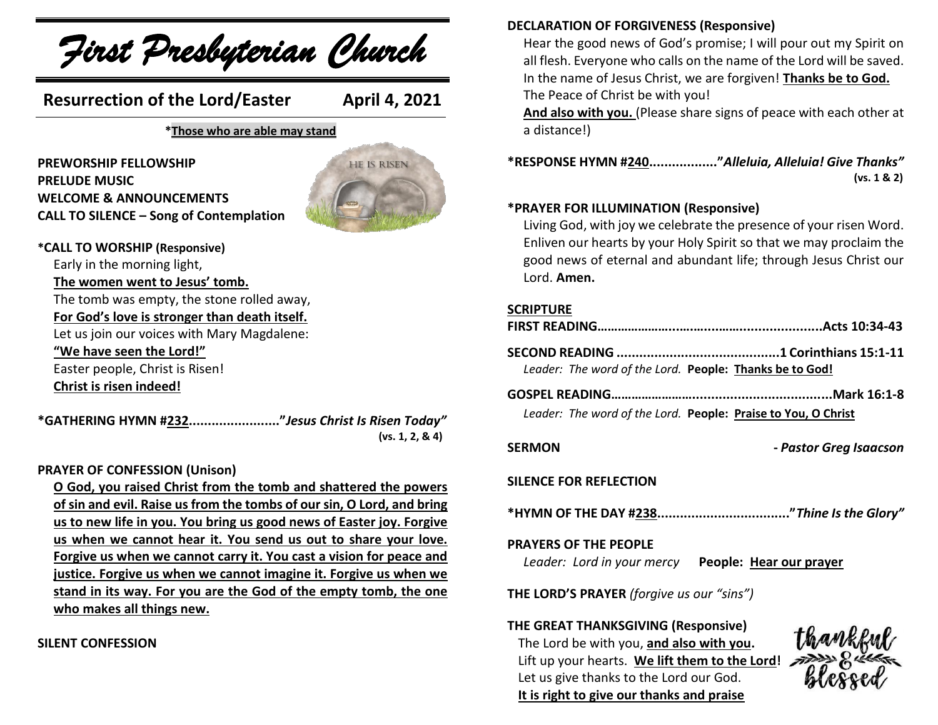

#### **DECLARATION OF FORGIVENESS (Responsive)**

Hear the good news of God's promise; I will pour out my Spirit on all flesh. Everyone who calls on the name of the Lord will be saved. In the name of Jesus Christ, we are forgiven! **Thanks be to God.** The Peace of Christ be with you!

**And also with you.** (Please share signs of peace with each other at a distance!)

**\*RESPONSE HYMN #240.................."***Alleluia, Alleluia! Give Thanks"*  **(vs. 1 & 2)**

#### **\*PRAYER FOR ILLUMINATION (Responsive)**

Living God, with joy we celebrate the presence of your risen Word. Enliven our hearts by your Holy Spirit so that we may proclaim the good news of eternal and abundant life; through Jesus Christ our Lord. **Amen.**

#### **SCRIPTURE**

| Leader: The word of the Lord. People: Thanks be to God!                                   |
|-------------------------------------------------------------------------------------------|
| Leader: The word of the Lord. People: Praise to You, O Christ                             |
| <b>SERMON</b><br>- Pastor Greg Isaacson                                                   |
| SILENCE FOR REFLECTION                                                                    |
|                                                                                           |
| <b>PRAYERS OF THE PEOPLE</b><br>Leader: Lord in your mercy People: Hear our prayer        |
| <b>THE LORD'S PRAYER</b> (forgive us our "sins")                                          |
| THE GREAT THANKSGIVING (Responsive)<br>thankeul<br>The Lord he with you and also with you |

The Lord be with you, **and also with you.**  Lift up your hearts. We lift them to the Lord! Let us give thanks to the Lord our God. **It is right to give our thanks and praise**

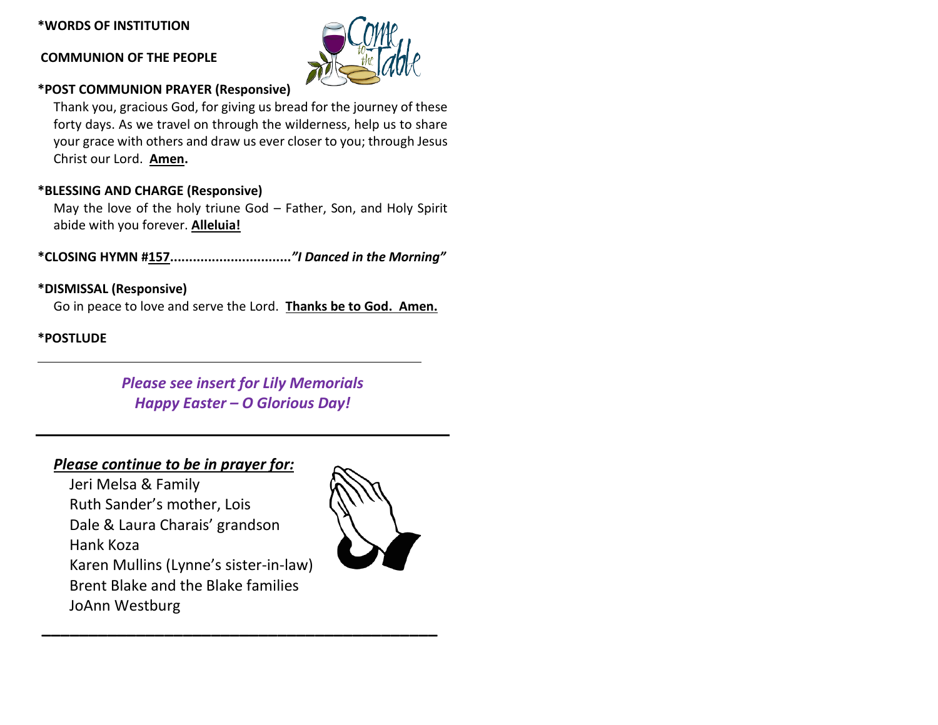#### **\*WORDS OF INSTITUTION**

#### **COMMUNION OF THE PEOPLE**



# **\*POST COMMUNION PRAYER (Responsive)**

Thank you, gracious God, for giving us bread for the journey of these forty days. As we travel on through the wilderness, help us to share your grace with others and draw us ever closer to you; through Jesus Christ our Lord. **Amen.**

## **\*BLESSING AND CHARGE (Responsive)**

May the love of the holy triune God – Father, Son, and Holy Spirit abide with you forever. **Alleluia!**

**\*CLOSING HYMN #157................................***"I Danced in the Morning"*

## **\*DISMISSAL (Responsive)**

Go in peace to love and serve the Lord. **Thanks be to God. Amen.**

#### **\*POSTLUDE**

*Please see insert for Lily Memorials Happy Easter – O Glorious Day!*

**\_\_\_\_\_\_\_\_\_\_\_\_\_\_\_\_\_\_\_\_\_\_\_\_\_\_\_\_\_\_\_\_\_\_\_\_\_\_\_\_\_\_**

### *Please continue to be in prayer for:*

Jeri Melsa & Family Ruth Sander's mother, Lois Dale & Laura Charais' grandson Hank Koza Karen Mullins (Lynne's sister-in-law) Brent Blake and the Blake families JoAnn Westburg